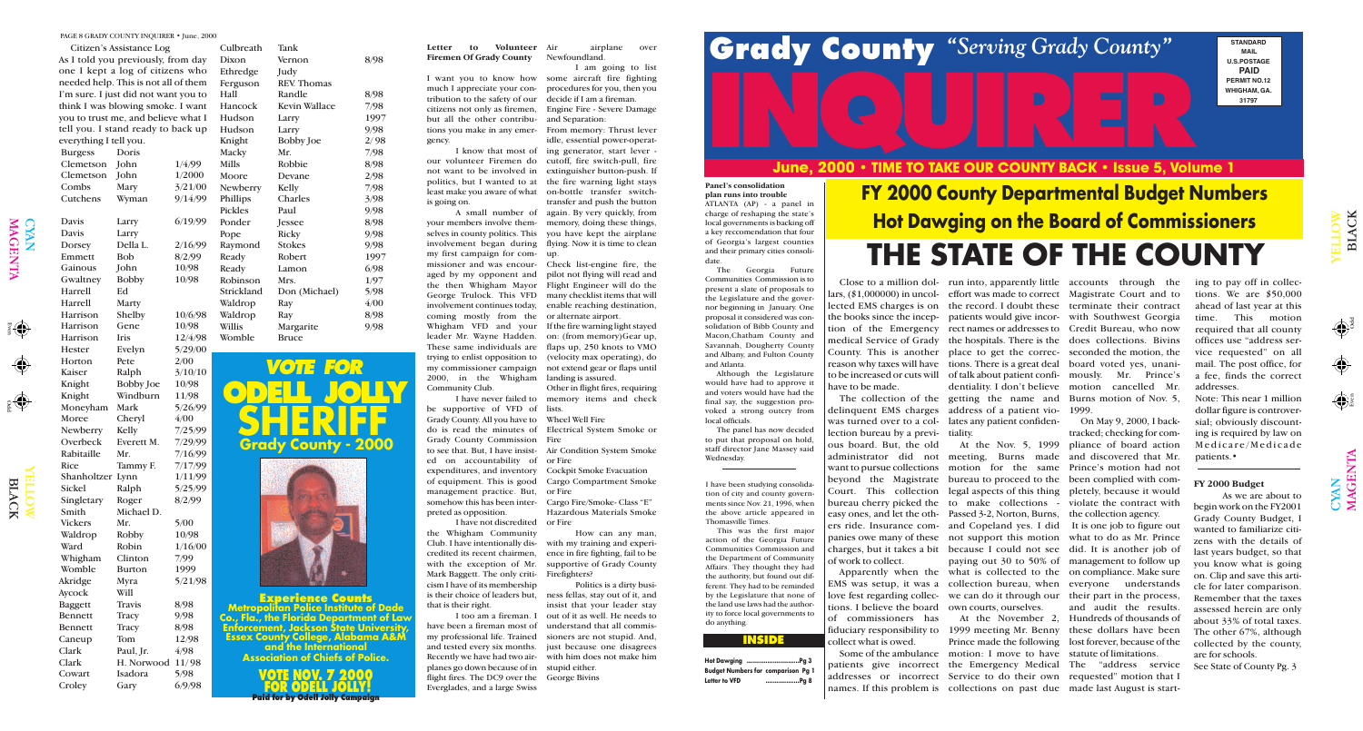Odd Even

Odd

 $\bigoplus$ 

 $\bigcirc$ YAN MAG

 $\overline{\mathbf{r}}$  $\mathsf{Z}% _{0}\!\left( \mathcal{M}\right) \equiv\mathcal{M}\!\left( \mathcal{M}\right)$  $\boldsymbol{\Xi}$ 

YE  $\blacksquare$ L O W

 $\Xi$ 

# **INQUIRER June, 2000 • TIME TO TAKE OUR COUNTY BACK • Issue 5, Volume 1**

LAC

K

 $\bigcap$ 

CYAN<br>MAGI

 $\overline{\mathbf{E}}$  ${\bf Z}$  $\blacktriangleright$ 

#### **INSIDE**

|       | wging   Pg 3                |
|-------|-----------------------------|
|       | Numbers for comparison Pg 1 |
| ט VFD | Pq 8                        |





**Experience Counts Metropolitan Police Institute of Dade Co., Fla., the Florida Department of Law Enforcement, Jackson State University, Essex County College, Alabama A&M and the International Association of Chiefs of Police.**



**STANDARD MAIL U.S.POSTAGE PAID PERMIT NO.12 WHIGHAM, GA. 31797**

**FY 2000 County Departmental Budget Numbers Hot Dawging on the Board of Commissioners THE STATE OF THE COUNTY**

I have been studying consolidation of city and county governments since Nov. 21, 1996, when the above article appeared in Thomasville Times.

This was the first major action of the Georgia Future Communities Commission and the Department of Community Affairs. They thought they had the authority, but found out different. They had to be reminded by the Legislature that none of the land use laws had the authority to force local governments to do anything.

**Hot Daw Budget Letter to** 

### PAGE 8 GRADY COUNTY INQUIRER • June, 2000<br>As I told you previously, from day Dixon Vernon 8/98 Firemen Of Grady County Newfoundland.

lars, (\$1,000000) in uncol-effort was made to correct Magistrate Court and to lected EMS charges is on the record. I doubt these terminate their contract the books since the incep-patients would give incor-with Southwest Georgia tion of the Emergency rect names or addresses to Credit Bureau, who now medical Service of Grady the hospitals. There is the does collections. Bivins County. This is another place to get the correc-seconded the motion, the reason why taxes will have tions. There is a great deal board voted yes, unanito be increased or cuts will of talk about patient confi-mously. Mr. Prince's have to be made.

Close to a million dol- run into, apparently little accounts through the ing to pay off in collec-The collection of the getting the name and Burns motion of Nov. 5, delinquent EMS charges address of a patient vio-1999. dentiality. I don't believe motion cancelled Mr.

was turned over to a col-lates any patient confidenlection bureau by a previ-tiality. ous board. But, the old easy ones, and let the oth-Passed 3-2, Norton, Burns, ers ride. Insurance com-and Copeland yes. I did panies owe many of these not support this motion of work to collect.

tions. I believe the board own courts, ourselves. of commissioners has collect what is owed.

administrator did not meeting, Burns made and discovered that Mr. want to pursue collections motion for the same Prince's motion had not beyond the Magistrate bureau to proceed to the been complied with com-Court. This collection legal aspects of this thing pletely, because it would bureau cherry picked the to make collections - violate the contract with charges, but it takes a bit because I could not see did. It is another job of Apparently when the what is collected to the on compliance. Make sure EMS was setup, it was a collection bureau, when everyone understands love fest regarding collec-we can do it through our their part in the process, paying out 30 to 50% of management to follow up

fiduciary responsibility to 1999 meeting Mr. Benny these dollars have been Some of the ambulance motion: I move to have statute of limitations. patients give incorrect the Emergency Medical The "address service addresses or incorrect Service to do their own requested" motion that I names. If this problem is collections on past due made last August is start-Prince made the following lost forever, because of the

At the Nov. 5, 1999 pliance of board action On May 9, 2000, I backtracked; checking for comthe collection agency.

#### Letter to Volunteer Air **Firemen Of Grady County**

At the November 2, Hundreds of thousands of It is one job to figure out what to do as Mr. Prince and audit the results.

airplane over Newfoundland.

> tions. We are \$50,000 ahead of last year at this time. This motion required that all county offices use "address service requested" on all mail. The post office, for a fee, finds the correct addresses.

Note: This near 1 million dollar figure is controversial; obviously discounting is required by law on Medicare/Medicade patients.•

#### **FY 2000 Budget**

As we are about to begin work on the FY2001 Grady County Budget, I wanted to familiarize citizens with the details of last years budget, so that you know what is going on. Clip and save this article for later comparison. Remember that the taxes assessed herein are only about 33% of total taxes. The other 67%, although collected by the county, are for schools.

I too am a fireman. I out of it as well. He needs to Politics is a dirty business fellas, stay out of it, and insist that your leader stay

See State of County Pg. 3

|                        | Citizen's Assistance Log             |         |
|------------------------|--------------------------------------|---------|
|                        | As I told you previously, from day   |         |
|                        | one I kept a log of citizens who     |         |
|                        | needed help. This is not all of them |         |
|                        | I'm sure. I just did not want you to |         |
|                        | think I was blowing smoke. I want    |         |
|                        | you to trust me, and believe what I  |         |
|                        | tell you. I stand ready to back up   |         |
| everything I tell you. |                                      |         |
| <b>Burgess</b>         | Doris                                |         |
| Clemetson              | John                                 | 1/4/99  |
| Clemetson              | John                                 | 1/2000  |
| Combs                  | Mary                                 | 3/21/00 |
| Cutchens               | Wyman                                | 9/14/99 |
|                        |                                      |         |
| Davis                  | Larry                                | 6/19/99 |
| <b>Davis</b>           | Larry                                |         |
| Dorsey                 | Della L.                             | 2/16/99 |
| Emmett                 | <b>Bob</b>                           | 8/2/99  |
| Gainous                | John                                 | 10/98   |
| Gwaltney               | <b>Bobby</b>                         | 10/98   |
| Harrell                | Ed                                   |         |
| Harrell                | Marty                                |         |
| Harrison               | Shelby                               | 10/6/98 |
| Harrison               | Gene                                 | 10/98   |
| Harrison               | <b>Iris</b>                          | 12/4/98 |
| <b>Hester</b>          | Evelyn                               | 5/29/00 |
| Horton                 | Pete                                 | 2/00    |
| Kaiser                 | Ralph                                | 3/10/10 |
| Knight                 | <b>Bobby</b> Joe                     | 10/98   |
| Knight                 | Windburn                             | 11/98   |
| Moneyham               | Mark                                 | 5/26/99 |
| Moree                  | Cheryl                               | 4/00    |
| Newberry               | Kelly                                | 7/25/99 |
| Overbeck               | Everett M.                           | 7/29/99 |
| Rabitaille             | Mr.                                  | 7/16/99 |
| <b>Rice</b>            | Tammy F.                             | 7/17/99 |
| Shanholtzer            | Lynn                                 | 1/11/99 |
| Sickel                 | Ralph                                | 5/25/99 |
| Singletary             | Roger                                | 8/2/99  |
| Smith                  | Michael D.                           |         |
| <b>Vickers</b>         | Mr.                                  | 5/00    |
| Waldrop                | Robby                                | 10/98   |
| Ward                   | Robin                                | 1/16/00 |
| Whigham                | Clinton                              | 7/99    |
| Womble                 | <b>Burton</b>                        | 1999    |
| Akridge                | Myra                                 | 5/21/98 |
| Aycock                 | Will                                 |         |
| <b>Baggett</b>         | <b>Travis</b>                        | 8/98    |
| <b>Bennett</b>         | Tracy                                | 9/98    |
| <b>Bennett</b>         | Tracy                                | 8/98    |
| Caneup                 | Tom                                  | 12/98   |
| Clark                  | Paul, Jr.                            | 4/98    |
| Clark                  | H. Norwood                           | 11/98   |
| Cowart                 | Isadora                              | 5/98    |
| Croley                 | Gary                                 | 6/9/98  |
|                        |                                      |         |

| Culbreath      | Tank                 |      |
|----------------|----------------------|------|
| Dixon          | Vernon               | 8/98 |
| Ethredge       | Judy                 |      |
| Ferguson       | <b>REV.</b> Thomas   |      |
| Hall           | Randle               | 8/98 |
| Hancock        | <b>Kevin Wallace</b> | 7/98 |
| Hudson         | Larry                | 1997 |
| Hudson         | Larry                | 9/98 |
| Knight         | <b>Bobby Joe</b>     | 2/98 |
| Macky          | Mr.                  | 7/98 |
| <b>Mills</b>   | Robbie               | 8/98 |
| Moore          | Devane               | 2/98 |
| Newberry       | Kelly                | 7/98 |
| Phillips       | Charles              | 3/98 |
| <b>Pickles</b> | Paul                 | 9/98 |
| Ponder         | Jessee               | 8/98 |
| Pope           | Ricky                | 9/98 |
| Raymond        | <b>Stokes</b>        | 9/98 |
| Ready          | Robert               | 1997 |
| Ready          | Lamon                | 6/98 |
| Robinson       | Mrs.                 | 1/97 |
| Strickland     | Don (Michael)        | 5/98 |
| Waldrop        | Ray                  | 4/00 |
| Waldrop        | Ray                  | 8/98 |
| Willis         | Margarite            | 9/98 |
| Womble         | <b>Bruce</b>         |      |
|                |                      |      |

I want you to know how some aircraft fire fighting much I appreciate your con-procedures for you, then you tribution to the safety of our decide if I am a fireman. citizens not only as firemen, Engine Fire - Severe Damage but all the other contribu-and Separation: tions you make in any emer-From memory: Thrust lever gency.

is going on.

my first campaign for com-up. coming mostly from the or alternate airport. Whigham VFD and your If the fire warning light stayed leader Mr. Wayne Hadden. on: (from memory)Gear up, These same individuals are flaps up, 250 knots to VMO trying to enlist opposition to (velocity max operating), do my commissioner campaign not extend gear or flaps until 2000, in the Whigham landing is assured. Community Club.

be supportive of VFD of lists. Grady County. All you have to Wheel Well Fire do is read the minutes of Electrical System Smoke or Grady County Commission Fire to see that. But, I have insist-Air Condition System Smoke ed on accountability of or Fire expenditures, and inventory Cockpit Smoke Evacuation of equipment. This is good Cargo Compartment Smoke management practice. But, or Fire somehow this has been inter-Cargo Fire/Smoke- Class "E" preted as opposition.

I know that most of ing generator, start lever our volunteer Firemen do cutoff, fire switch-pull, fire not want to be involved in extinguisher button-push. If politics, but I wanted to at the fire warning light stays least make you aware of what on-bottle transfer switch-A small number of again. By very quickly, from your members involve them-memory, doing these things, selves in county politics. This you have kept the airplane involvement began during flying. Now it is time to clean idle, essential power-operattransfer and push the button

I have not discredited the Whigham Community Club. I have intentionally dis-Mark Baggett. The only criticism I have of its membership is their choice of leaders but, that is their right.

missioner and was encour-Check list-engine fire, the aged by my opponent and pilot not flying will read and the then Whigham Mayor Flight Engineer will do the George Trulock. This VFD many checklist items that will involvement continues today, enable reaching destination,

have been a fireman most of understand that all commismy professional life. Trained sioners are not stupid. And, and tested every six months. just because one disagrees Recently we have had two air-with him does not make him planes go down because of in stupid either. flight fires. The DC9 over the George Bivins Everglades, and a large Swiss

I am going to list

I have never failed to memory items and check

credited its recent chairmen, ence in fire fighting, fail to be with the exception of Mr. supportive of Grady County How can any man, with my training and experi-Firefighters?

Other in flight fires, requiring

Hazardous Materials Smoke or Fire

#### **Panel's consolidation plan runs into trouble**

ATLANTA (AP) - a panel in charge of reshaping the state's local governments is backing off a key reccomendation that four of Georgia's largest counties and their primary cities consoli-

date.

The Georgia Future Communities Commission is to present a slate of proposals to the Legislature and the governor beginning in January. One proposal it considered was consolidation of Bibb County and Macon,Chatham County and Savannah, Dougherty County and Albany, and Fulton County and Atlanta.

Although the Legislature would have had to approve it and voters would have had the final say, the suggestion provoked a strong outcry from local officials.

The panel has now decided to put that proposal on hold, staff director Jane Massey said Wednesday.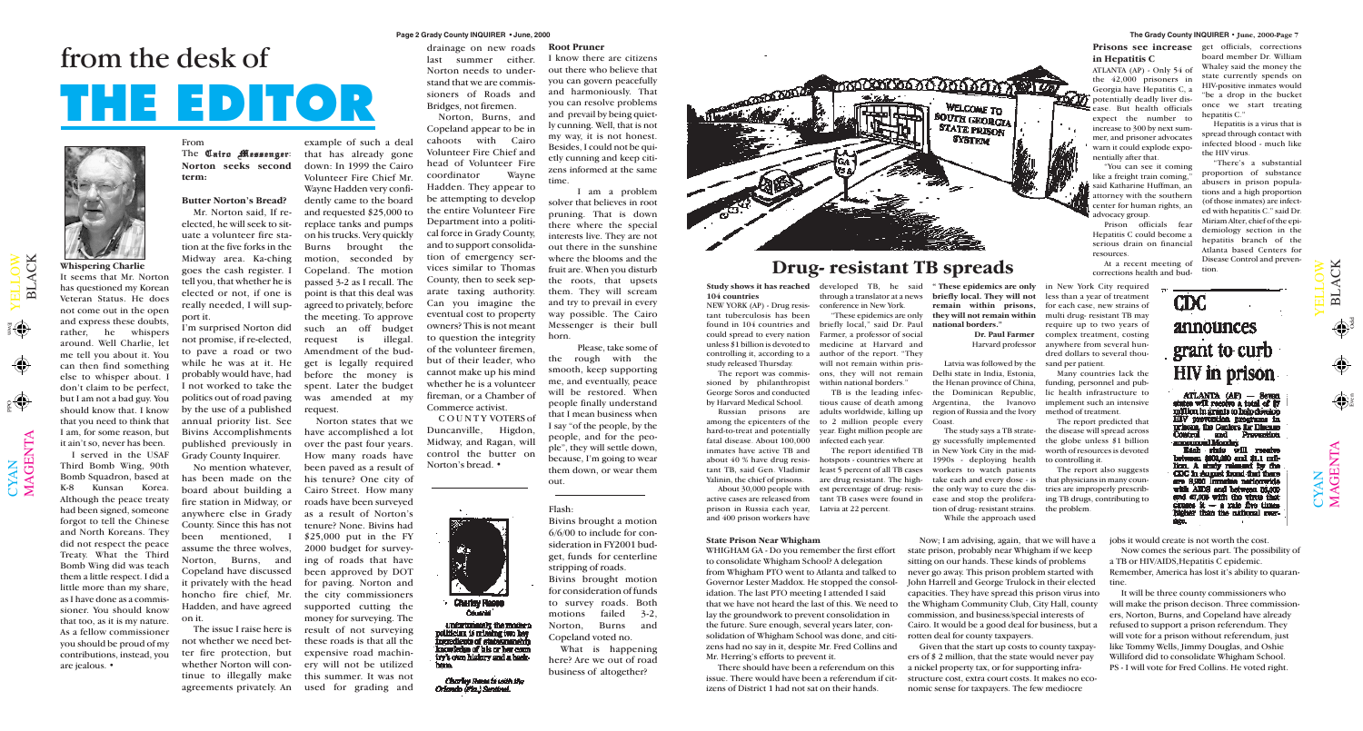$\mathbf{\Xi}$  $\overline{\phantom{0}}$  $\blacktriangleleft$ C K

 $\bigoplus$ 

 $\bigoplus$ 



 $\mathbf{\Xi}$  $\overline{\phantom{0}}$  $\blacktriangleleft$ C K

 $\mathbf{\Sigma}% _{T}=\mathbf{\Sigma}_{T}\times\mathbf{2}^{T}$  $\blacktriangleleft$ G  $\bf \Xi$  $\bm{\mathsf{Z}}$  $\boldsymbol{\Xi}$ 

#### **Page 2 Grady County INQUIRER • June, 2000**

Odd Even

# from the desk of **THE EDITOR**



HIV prevention programs in among the epicenters of the to 2 million people every Coast. The report predicted that prisons, the Centers for Discuss hard-to-treat and potentially year. Eight million people are The study says a TB stratethe disease will spread across Control and Prevention fatal disease. About 100,000 infected each year. gy sucessfully implemented the globe unless \$1 billion amonimud Monday Each state will recaive inmates have active TB and The report identified TB in New York City in the midworth of resources is devoted about 40 % have drug resishotspots - countries where at 1990s - deploying health to controlling it. lion. A simily released by the tant TB, said Gen. Vladimir least 5 percent of all TB cases workers to watch patients The report also suggests CDC in August frond that there Yalinin, the chief of prisons. are drug resistant. The hightake each and every dose - is that physicians in many counare 8,900 limates nationwide the only way to cure the distries are improperly prescrib-About 30,000 people with est percentage of drug- resisand 67,000 with the virus that active cases are released from tant TB cases were found in ease and stop the proliferaing TB drugs, contributing to -- a mie five times prison in Russia each year, tion of drug- resistant strains. Latvia at 22 percent. the problem. than the national awaand 400 prison workers have While the approach used **State Prison Near Whigham** Now; I am advising, again, that we will have a jobs it would create is not worth the cost. WHIGHAM GA - Do you remember the first effort state prison, probably near Whigham if we keep Now comes the serious part. The possibility of to consolidate Whigham School? A delegation sitting on our hands. These kinds of problems a TB or HIV/AIDS,Hepatitis C epidemic. from Whigham PTO went to Atlanta and talked to never go away. This prison problem started with Remember, America has lost it's ability to quaran-Governor Lester Maddox. He stopped the consol-John Harrell and George Trulock in their elected tine. idation. The last PTO meeting I attended I said capacities. They have spread this prison virus into It will be three county commissioners who that we have not heard the last of this. We need to the Whigham Community Club, City Hall, county will make the prison decison. Three commissioners, Norton, Burns, and Copeland have already lay the groundwork to prevent consolidation in commission, and business/special interests of the future. Sure enough, several years later, con-Cairo. It would be a good deal for business, but a refused to support a prison referendum. They solidation of Whigham School was done, and citiwill vote for a prison without referendum, just rotten deal for county taxpayers. zens had no say in it, despite Mr. Fred Collins and Given that the start up costs to county taxpaylike Tommy Wells, Jimmy Douglas, and Oshie Williford did to consolidate Whigham School. Mr. Herring's efforts to prevent it. ers of  $$ 2$  million, that the state would never pay There should have been a referendum on this a nickel property tax, or for supporting infra-PS - I will vote for Fred Collins. He voted right. issue. There would have been a referendum if citstructure cost, extra court costs. It makes no ecoizens of District 1 had not sat on their hands. nomic sense for taxpayers. The few mediocre

The Cairo Messenger: **Norton seeks second term:**

**Whispering Charlie** It seems that Mr. Norton has questioned my Korean Veteran Status. He does not come out in the open and express these doubts, rather, he whispers around. Well Charlie, let me tell you about it. You can then find something else to whisper about. I don't claim to be perfect, but I am not a bad guy. You should know that. I know that you need to think that I am, for some reason, but it ain't so, never has been.

I served in the USAF Third Bomb Wing, 90th Bomb Squadron, based at K-8 Kunsan Korea. Although the peace treaty had been signed, someone forgot to tell the Chinese and North Koreans. They did not respect the peace Treaty. What the Third Bomb Wing did was teach them a little respect. I did a little more than my share, as I have done as a commissioner. You should know that too, as it is my nature. As a fellow commissioner you should be proud of my contributions, instead, you are jealous. •

 $\bigcup$  $\bm{\mathsf{X}}$  $\mathsf{Z}_\mathsf{I}$ 

 $\blacktriangleright$  $\blacksquare$  $\overline{\phantom{0}}$  $\overline{\phantom{0}}$  $\bigcirc$  $\geqslant$ 

### From

#### **Butter Norton's Bread?**

Mr. Norton said, If reelected, he will seek to situate a volunteer fire station at the five forks in the Midway area. Ka-ching goes the cash register. I tell you, that whether he is elected or not, if one is really needed, I will support it.

I'm surprised Norton did not promise, if re-elected, to pave a road or two while he was at it. He probably would have, had I not worked to take the politics out of road paving by the use of a published annual priority list. See Bivins Accomplishments published previously in Grady County Inquirer.

No mention whatever, has been made on the board about building a fire station in Midway, or anywhere else in Grady County. Since this has not been mentioned, I assume the three wolves, Norton, Burns, and Copeland have discussed it privately with the head honcho fire chief, Mr. Hadden, and have agreed on it.

The issue I raise here is not whether we need better fire protection, but whether Norton will continue to illegally make agreements privately. An

example of such a deal that has already gone down: In 1999 the Cairo Volunteer Fire Chief Mr. Wayne Hadden very confidently came to the board and requested \$25,000 to replace tanks and pumps on his trucks. Very quickly Burns brought the motion, seconded by Copeland. The motion passed 3-2 as I recall. The point is that this deal was agreed to privately, before the meeting. To approve such an off budget request is illegal. Amendment of the budget is legally required before the money is spent. Later the budget was amended at my request.

Norton states that we have accomplished a lot over the past four years. How many roads have been paved as a result of his tenure? One city of Cairo Street. How many roads have been surveyed as a result of Norton's tenure? None. Bivins had \$25,000 put in the FY 2000 budget for surveying of roads that have been approved by DOT for paving. Norton and the city commissioners supported cutting the money for surveying. The result of not surveying these roads is that all the expensive road machinery will not be utilized this summer. It was not used for grading and

drainage on new roads last summer either. Norton needs to understand that we are commissioners of Roads and Bridges, not firemen.

Norton, Burns, and Copeland appear to be in cahoots with Cairo Volunteer Fire Chief and head of Volunteer Fire coordinator Wayne Hadden. They appear to be attempting to develop the entire Volunteer Fire Department into a political force in Grady County, and to support consolidation of emergency services similar to Thomas County, then to seek separate taxing authority. Can you imagine the eventual cost to property owners? This is not meant to question the integrity of the volunteer firemen, but of their leader, who cannot make up his mind whether he is a volunteer fireman, or a Chamber of Commerce activist.

COUNTY VOTERS of Duncanville, Higdon, Midway, and Ragan, will control the butter on Norton's bread. •



unfortunately the modern politician is missing two key<br>ingredients of statesmanship knowledge of lats or her coun iry's own history and a hask-

**Charley Reese to with the** Orlando (Fia.) Sentinel.

#### **Root Pruner**

I know there are citizens out there who believe that you can govern peacefully and harmoniously. That you can resolve problems and prevail by being quietly cunning. Well, that is not my way, it is not honest. Besides, I could not be quietly cunning and keep citizens informed at the same time.

I am a problem solver that believes in root pruning. That is down there where the special interests live. They are not out there in the sunshine where the blooms and the fruit are. When you disturb the roots, that upsets them. They will scream and try to prevail in every way possible. The Cairo Messenger is their bull horn.

Please, take some of the rough with the smooth, keep supporting me, and eventually, peace will be restored. When people finally understand that I mean business when I say "of the people, by the people, and for the people", they will settle down, because, I'm going to wear them down, or wear them out.

### **Drug- resistant TB spreads**

**104 countries**

NEW YORK (AP) - Drug resistant tuberculosis has been found in 104 countries and could spread to every nation unless \$1 billion is devoted to controlling it, according to a study released Thursday.

The report was commissioned by philanthropist George Soros and conducted by Harvard Medical School.

Russian prisons are

**Study shows it has reached** developed TB, he said **" These epidemics are only** through a translator at a news conference in New York.

"These epidemics are only briefly local," said Dr. Paul Farmer, a professor of social medicine at Harvard and author of the report. "They will not remain within prisons, they will not remain within national borders."

TB is the leading infectious cause of death among adults worldwide, killing up

**briefly local. They will not remain within prisons, they will not remain within national borders."**

> **Dr. Paul Farmer** Harvard professor

Latvia was followed by the Delhi state in India, Estonia, the Henan province of China, the Dominican Republic, Argentina, the Ivanovo region of Russia and the Ivory in New York City required less than a year of treatment for each case, new strains of multi drug- resistant TB may require up to two years of complex treatment, costing anywhere from several hundred dollars to several thousand per patient.

Many countries lack the funding, personnel and public health infrastructure to implement such an intensive method of treatment.

### **in Hepatitis C**

ATLANTA (AP) - Only 54 of the 42,000 prisoners in Georgia have Hepatitis C, a potentially deadly liver disease. But health officials expect the number to increase to 300 by next summer, and prisoner advocates warn it could explode exponentially after that.

"You can see it coming like a freight train coming," said Katharine Huffman, an attorney with the southern center for human rights, an advocacy group.

**Prisons see increase** get officials, corrections board member Dr. William Whaley said the money the state currently spends on HIV-positive inmates would "be a drop in the bucket once we start treating hepatitis C."

Prison officials fear Hepatitis C could become a serious drain on financial resources.

At a recent meeting of corrections health and bud-

**CDC** 

Hepatitis is a virus that is spread through contact with infected blood - much like the HIV virus.

"There's a substantial proportion of substance abusers in prison populations and a high proportion (of those inmates) are infected with hepatitis C." said Dr. Miriam Alter, chief of the epidemiology section in the hepatitis branch of the Atlanta based Centers for Disease Control and prevention.

 $\overline{\phantom{0}}$  $\overline{\phantom{0}}$  $\blacksquare$  $\blacktriangleright$ announces grant to curb HIV in prison ATLANTA (AP) - Seven<br>states will receive a total of \$7 million in grants to halp develop

 $\bigcirc$  $\geqslant$ 

#### Flash:

Bivins brought a motion 6/6/00 to include for consideration in FY2001 budget, funds for centerline stripping of roads. Bivins brought motion for consideration of funds to survey roads. Both motions failed 3-2, Norton, Burns and Copeland voted no.

What is happening here? Are we out of road business of altogether?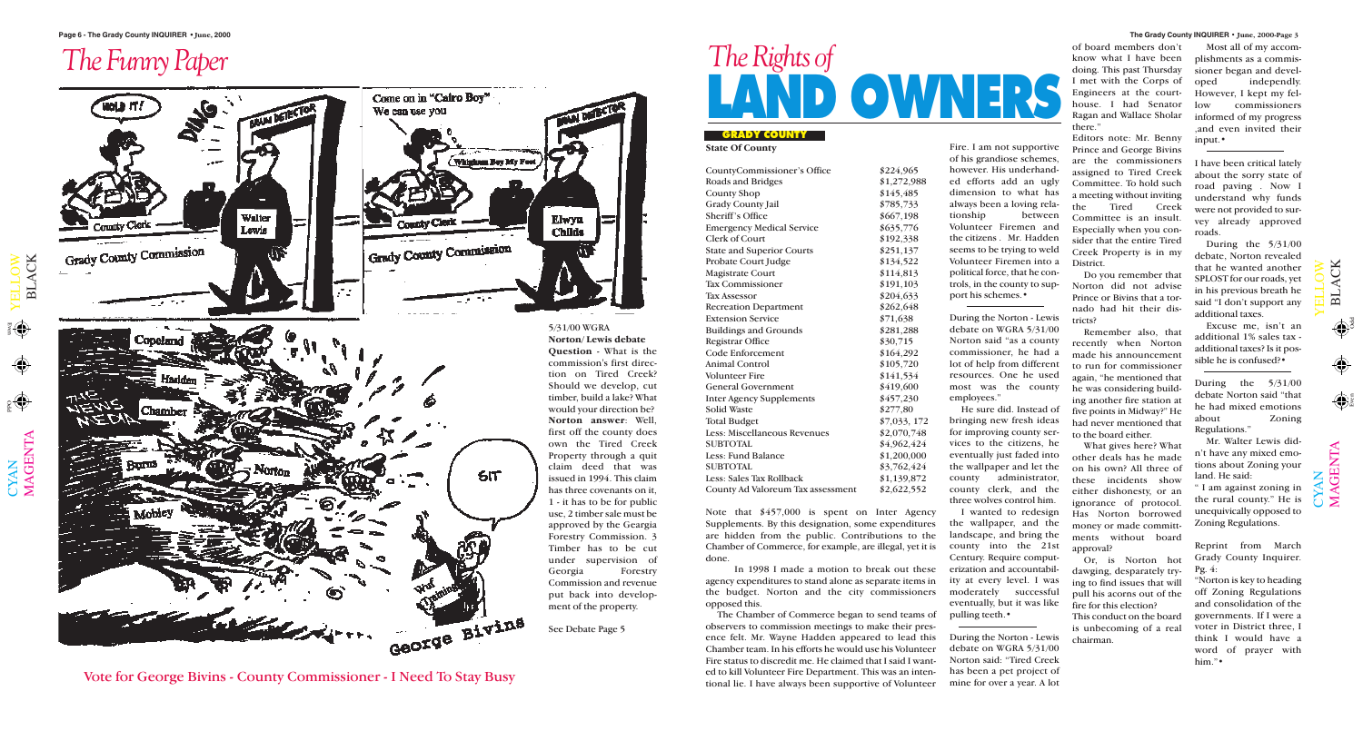$\mathbf{\Xi}$  $\overline{\phantom{0}}$  $\blacktriangleleft$ C K

#### **The Grady County INQUIRER • June, 2000-Page 3**

Odd

 $\overline{\phantom{0}}$  $\blacktriangleleft$ C K

 $\bigcup$  $\bm{\mathsf{X}}$  $\mathsf{Z}_1$   $\mathbf{\Sigma}% _{T}=\mathbf{\Sigma}_{T}\times\mathbf{2}^{T}$  $\blacktriangleleft$ G  $\bf \Xi$ 



# **LAND OWNERS** *The Rights of*

**GRADY COUNTY**

## *The Funny Paper*

Vote for George Bivins - County Commissioner - I Need To Stay Busy

**State Of County**

| CountyCommissioner's Office         | \$224,965    |
|-------------------------------------|--------------|
| <b>Roads and Bridges</b>            | \$1,272,988  |
| <b>County Shop</b>                  | \$145,485    |
| <b>Grady County Jail</b>            | \$785,733    |
| <b>Sheriff's Office</b>             | \$667,198    |
| <b>Emergency Medical Service</b>    | \$635,776    |
| <b>Clerk of Court</b>               | \$192,338    |
| <b>State and Superior Courts</b>    | \$251,137    |
| <b>Probate Court Judge</b>          | \$134,522    |
| Magistrate Court                    | \$114,813    |
| <b>Tax Commissioner</b>             | \$191,103    |
| <b>Tax Assessor</b>                 | \$204,633    |
| <b>Recreation Department</b>        | \$262,648    |
| <b>Extension Service</b>            | \$71,638     |
| <b>Buildings and Grounds</b>        | \$281,288    |
| <b>Registrar Office</b>             | \$30,715     |
| <b>Code Enforcement</b>             | \$164,292    |
| <b>Animal Control</b>               | \$105,720    |
| <b>Volunteer Fire</b>               | \$141,534    |
| <b>General Government</b>           | \$419,600    |
| <b>Inter Agency Supplements</b>     | \$457,230    |
| <b>Solid Waste</b>                  | \$277,80     |
| <b>Total Budget</b>                 | \$7,033, 172 |
| <b>Less: Miscellaneous Revenues</b> | \$2,070,748  |
| <b>SUBTOTAL</b>                     | \$4,962,424  |
| <b>Less: Fund Balance</b>           | \$1,200,000  |
| <b>SUBTOTAL</b>                     | \$3,762,424  |
| <b>Less: Sales Tax Rollback</b>     | \$1,139,872  |
| County Ad Valoreum Tax assessment   | \$2,622,552  |
|                                     |              |

Note that \$457,000 is spent on Inter Agency Supplements. By this designation, some expenditures are hidden from the public. Contributions to the Chamber of Commerce, for example, are illegal, yet it is

done.

In 1998 I made a motion to break out these agency expenditures to stand alone as separate items in the budget. Norton and the city commissioners opposed this.

of board members don't know what I have been doing. This past Thursday I met with the Corps of Engineers at the courthouse. I had Senator Ragan and Wallace Sholar there.'

The Chamber of Commerce began to send teams of observers to commission meetings to make their presence felt. Mr. Wayne Hadden appeared to lead this Chamber team. In his efforts he would use his Volunteer Fire status to discredit me. He claimed that I said I wanted to kill Volunteer Fire Department. This was an intentional lie. I have always been supportive of Volunteer

Fire. I am not supportive of his grandiose schemes, however. His underhanded efforts add an ugly dimension to what has always been a loving relationship between Volunteer Firemen and the citizens . Mr. Hadden seems to be trying to weld Volunteer Firemen into a political force, that he controls, in the county to support his schemes.•

During the Norton - Lewis debate on WGRA 5/31/00 Norton said "as a county commissioner, he had a lot of help from different resources. One he used most was the county employees."

He sure did. Instead of bringing new fresh ideas for improving county services to the citizens, he eventually just faded into the wallpaper and let the county administrator, county clerk, and the three wolves control him.

I wanted to redesign the wallpaper, and the landscape, and bring the county into the 21st Century. Require computerization and accountability at every level. I was moderately successful eventually, but it was like pulling teeth.•

During the Norton - Lewis debate on WGRA 5/31/00 Norton said: "Tired Creek has been a pet project of mine for over a year. A lot

Editors note: Mr. Benny Prince and George Bivins are the commissioners assigned to Tired Creek Committee. To hold such a meeting without inviting the Tired Creek Committee is an insult. Especially when you consider that the entire Tired Creek Property is in my District.

Do you remember that Norton did not advise Prince or Bivins that a tornado had hit their districts?

Remember also, that recently when Norton made his announcement to run for commissioner again, "he mentioned that he was considering building another fire station at five points in Midway?" He had never mentioned that to the board either.

What gives here? What other deals has he made on his own? All three of these incidents show either dishonesty, or an ignorance of protocol. Has Norton borrowed money or made committments without board approval?

Or, is Norton hot dawging, desparately trying to find issues that will pull his acorns out of the fire for this election? This conduct on the board is unbecoming of a real chairman.

Most all of my accomplishments as a commissioner began and developed independly. However, I kept my fellow commissioners informed of my progress ,and even invited their input.•

I have been critical lately about the sorry state of road paving . Now I understand why funds were not provided to survey already approved roads.

During the 5/31/00 debate, Norton revealed that he wanted another SPLOST for our roads, yet in his previous breath he said "I don't support any additional taxes.

Excuse me, isn't an additional 1% sales tax additional taxes? Is it possible he is confused?•

During the 5/31/00 debate Norton said "that he had mixed emotions about Zoning Regulations."

Mr. Walter Lewis didn't have any mixed emotions about Zoning your land. He said:

" I am against zoning in the rural county." He is unequivically opposed to Zoning Regulations.

Reprint from March Grady County Inquirer. Pg. 4:

"Norton is key to heading off Zoning Regulations and consolidation of the governments. If I were a voter in District three, I think I would have a word of prayer with him."•

 $\bigoplus$ 

 $\blacktriangleright$  $\blacksquare$  $\overline{\phantom{0}}$  $\overline{\phantom{0}}$  $\bigcirc$  $\geqslant$ 



 $\overline{\phantom{0}}$  $\overline{\phantom{0}}$  $\bigcirc$  $\geqslant$ 

> **Question** - What is the commission's first direction on Tired Creek? Should we develop, cut timber, build a lake? What would your direction be? **Norton answer**: Well, first off the county does own the Tired Creek Property through a quit claim deed that was issued in 1994. This claim has three covenants on it, 1 - it has to be for public use, 2 timber sale must be approved by the Geargia Forestry Commission. 3 Timber has to be cut under supervision of Georgia Forestry Commission and revenue put back into development of the property.

See Debate Page 5